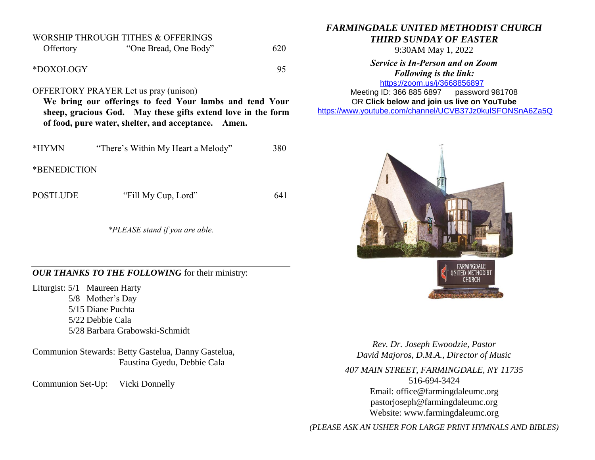| Offertory                                                                                                                                                                                                                      | <b>WORSHIP THROUGH TITHES &amp; OFFERINGS</b><br>"One Bread, One Body" | 620 |  |  |  |  |
|--------------------------------------------------------------------------------------------------------------------------------------------------------------------------------------------------------------------------------|------------------------------------------------------------------------|-----|--|--|--|--|
| *DOXOLOGY                                                                                                                                                                                                                      |                                                                        | 95  |  |  |  |  |
| <b>OFFERTORY PRAYER</b> Let us pray (unison)<br>We bring our offerings to feed Your lambs and tend Your<br>sheep, gracious God. May these gifts extend love in the form<br>of food, pure water, shelter, and acceptance. Amen. |                                                                        |     |  |  |  |  |
|                                                                                                                                                                                                                                |                                                                        |     |  |  |  |  |
| *HYMN                                                                                                                                                                                                                          | "There's Within My Heart a Melody"                                     | 380 |  |  |  |  |
| *BENEDICTION                                                                                                                                                                                                                   |                                                                        |     |  |  |  |  |

POSTLUDE "Fill My Cup, Lord" 641

*\*PLEASE stand if you are able.*

*OUR THANKS TO THE FOLLOWING* for their ministry:

Liturgist: 5/1 Maureen Harty 5/8 Mother's Day 5/15 Diane Puchta 5/22 Debbie Cala 5/28 Barbara Grabowski-Schmidt

Communion Stewards: Betty Gastelua, Danny Gastelua, Faustina Gyedu, Debbie Cala

Communion Set-Up: Vicki Donnelly

*FARMINGDALE UNITED METHODIST CHURCH THIRD SUNDAY OF EASTER*

9:30AM May 1, 2022

*Service is In-Person and on Zoom Following is the link:* <https://zoom.us/j/3668856897>

Meeting ID: 366 885 6897 password 981708 OR **Click below and join us live on YouTube** 

[https://www.youtube.com/channel/UCVB37Jz0kulSFONSnA6Za5Q](https://r20.rs6.net/tn.jsp?f=001k6RGPvPFbGGMIcfKWiNR_iQRr6wnePVJO5wPBmTGTUG-6H7Rno-Ccjzncf7RAcA2aCO1usCGiuYYhUDPog8HWc38p-B70aEHKS8a7AZ633unLlDnlsyY1rSZY7DrB1di009D1MFmnX36MQIEkLrC34ZIDpgMTMT95Xsd-rYhXX761Me0QKhAdY1E-Os86l7d&c=&ch=)



*Rev. Dr. Joseph Ewoodzie, Pastor David Majoros, D.M.A., Director of Music*

*407 MAIN STREET, FARMINGDALE, NY 11735* 516-694-3424 Email: [office@farmingdaleumc.org](mailto:office@farmingdaleumc.org) pastorjoseph@farmingdaleumc.org Website: www.farmingdaleumc.org

*(PLEASE ASK AN USHER FOR LARGE PRINT HYMNALS AND BIBLES)*